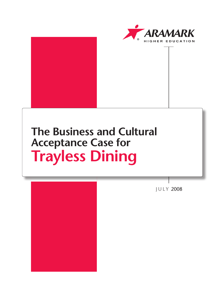



# **The Business and Cultural Acceptance Case for Trayless Dining**



J U L Y 2008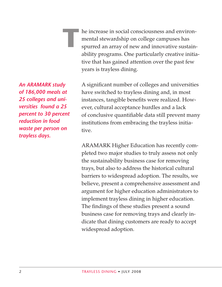he increase in social consciousness and environmental stewardship on college campuses has spurred an array of new and innovative sustainability programs. One particularly creative initiative that has gained attention over the past few years is trayless dining.

*An ARAMARK study of 186,000 meals at 25 colleges and universities found a 25 percent to 30 percent reduction in food waste per person on trayless days.*

**T**

A significant number of colleges and universities have switched to trayless dining and, in most instances, tangible benefits were realized. However, cultural acceptance hurdles and a lack of conclusive quantifiable data still prevent many institutions from embracing the trayless initiative.

ARAMARK Higher Education has recently completed two major studies to truly assess not only the sustainability business case for removing trays, but also to address the historical cultural barriers to widespread adoption. The results, we believe, present a comprehensive assessment and argument for higher education administrators to implement trayless dining in higher education. The findings of these studies present a sound business case for removing trays and clearly indicate that dining customers are ready to accept widespread adoption.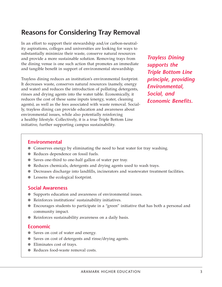# **Reasons for Considering Tray Removal**

In an effort to support their stewardship and/or carbon-neutrality aspirations, colleges and universities are looking for ways to substantially minimize their waste, conserve natural resources and provide a more sustainable solution. Removing trays from the dining venue is one such action that promotes an immediate and tangible benefit in support of environmental stewardship.

Trayless dining reduces an institution's environmental footprint. It decreases waste, conserves natural resources (namely, energy and water) and reduces the introduction of polluting detergents, rinses and drying agents into the water table. Economically, it reduces the cost of these same inputs (energy, water, cleaning agents), as well as the fees associated with waste removal. Socially, trayless dining can provide education and awareness about environmental issues, while also potentially reinforcing a healthy lifestyle. Collectively, it is a true Triple Bottom Line initiative, further supporting campus sustainability.

*Trayless Dining supports the Triple Bottom Line principle, providing Environmental, Social, and Economic Benefits.*

# **Environmental**

- Conserves energy by eliminating the need to heat water for tray washing.
- Reduces dependence on fossil fuels.
- Saves one-third to one-half gallon of water per tray.
- Reduces chemicals, detergents and drying agents used to wash trays.
- Decreases discharge into landfills, incinerators and wastewater treatment facilities.
- Lessens the ecological footprint.

# **Social Awareness**

- Supports education and awareness of environmental issues.
- Reinforces institutions' sustainability initiatives.
- Encourages students to participate in a "green" initiative that has both a personal and community impact.
- Reinforces sustainability awareness on a daily basis.

# **Economic**

- Saves on cost of water and energy.
- Saves on cost of detergents and rinse/drying agents.
- Eliminates cost of trays.
- Reduces food-waste removal costs.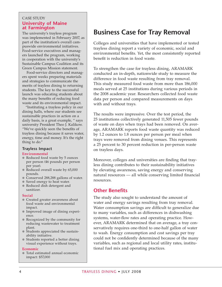#### case study **University of Maine at Farmington**

The university's trayless program was implemented in February 2007, as part of the institution's overall campuswide environmental initiatives. Food-service executives and managers launched the program, working in cooperation with the university's Sustainable Campus Coalition and its Green Campus Mission statement.

 Food-service directors and managers spent weeks preparing materials and strategies to communicate the merits of trayless dining to returning students. The key to the successful launch was educating students about the many benefits of reducing food waste and its environmental impact.

"Instituting a trayless policy in our dining halls, where our students see sustainable practices in action on a daily basis, is a great example, " says university President Theo J. Kalikow. "We've quickly seen the benefits of trayless dining because it saves water, energy, time and money. It's the right thing to do."

# **Trayless Impact**

#### **Environmental**

- Reduced food waste by 5 ounces per person (46 pounds per person per year).
- Reduced overall waste by 65,000 pounds.
- Conserved 288,288 gallons of water.
- Saved energy to heat water.
- Reduced dish detergent and sanitizer.

#### **Social**

- Created greater awareness about food waste and environmental impact.
- Improved image of dining experience.
- Recognized by the community for reducing wastewater to treatment plant.
- Students appreciated the sustainability initiative.
- Students reported a better dining visual experience without trays.

#### **Economic**

● Total estimated annual economic impact: \$57,000

# **Business Case for Tray Removal**

Colleges and universities that have implemented or tested trayless dining report a variety of economic, social and environmental benefits. Yet, the most consistently reported benefit is reduction in food waste.

To strengthen the case for trayless dining, ARAMARK conducted an in-depth, nationwide study to measure the difference in food waste resulting from tray removal. This study measured food waste from more than 186,000 meals served at 25 institutions during various periods in the 2008 academic year. Researchers collected food waste data per person and compared measurements on days with and without trays.

The results were impressive. Over the test period, the 25 institutions collectively generated 11,505 fewer pounds of waste on days when trays had been removed. On average, ARAMARK reports food waste quantity was reduced by 1.2 ounces to 1.8 ounces per person per meal when trays were removed from dining venues. This represents a 25 percent to 30 percent reduction in per-person waste on trayless days.

Moreover, colleges and universities are finding that trayless dining contributes to their sustainability initiatives by elevating awareness, saving energy and conserving natural resources — all while conserving limited financial resources.

# **Other Benefits**

The study also sought to understand the amount of water and energy savings resulting from tray removal. Water consumption savings are difficult to generalize due to many variables, such as differences in dishwashing systems, water-flow rates and operating practice. However, ARAMARK determined that on average, a tray conservatively requires one-third to one-half gallon of water to wash. Energy consumption and cost savings per tray could not be confidently determined because of the many variables, such as regional and local utility rates, institutional fuel mix and operating practices.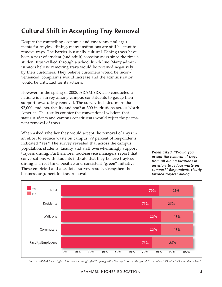# **Cultural Shift in Accepting Tray Removal**

Despite the compelling economic and environmental arguments for trayless dining, many institutions are still hesitant to remove trays. The barrier is usually cultural. Dining trays have been a part of student (and adult) consciousness since the time a student first walked through a school lunch line. Many administrators believe removing trays would be received negatively by their customers. They believe customers would be inconvenienced, complaints would increase and the administration would be criticized for its actions.

However, in the spring of 2008, ARAMARK also conducted a nationwide survey among campus constituents to gauge their support toward tray removal. The survey included more than 92,000 students, faculty and staff at 300 institutions across North America. The results counter the conventional wisdom that states students and campus constituents would reject the permanent removal of trays.

When asked whether they would accept the removal of trays in an effort to reduce waste on campus, 79 percent of respondents indicated "Yes." The survey revealed that across the campus population, students, faculty and staff overwhelmingly support trayless dining. Furthermore, food-service managers report that conversations with students indicate that they believe trayless dining is a real-time, positive and consistent "green" initiative. These empirical and anecdotal survey results strengthen the business argument for tray removal.

*When asked: "Would you accept the removal of trays from all dining locations in an effort to reduce waste on campus?" Respondents clearly favored trayless dining.*



Source: ARAMARK Higher Education DiningStyles<sup>TM</sup> Spring 2008 Survey Results. Margin of Error: +/- 0.09% at a 95% confidence level.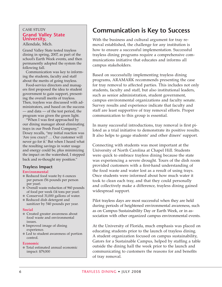#### case study **Grand Valley State University,**

Allendale, Mich.

Grand Valley State tested trayless dining in spring, 2007, as part of the school's Earth Week events, and then permanently adopted the system the following fall.

Communication was key to informing the students, faculty and staff about the merits of going trayless.

Food-service directors and managers first proposed the idea to student government to gain support, presenting the overall merits of trayless. Then, trayless was discussed with administrators, and based on the success — and data — of the test period, the program was given the green light.

"When I was first approached by our dining manager about eliminating trays in our Fresh Food Company," Doxey recalls, "my initial reaction was 'Are you crazy? … Our customer will never go for it.' But when I heard what the resulting savings in water usage and energy could be, plus minimizing the impact on the watershed, I stepped back and re-thought my position."

# **Trayless Impact**

#### **Environmental**

- Reduced food waste by 6 ounces per person (56 pounds per person per year).
- Overall waste reduction of 960 pounds of food per week (14 tons per year).
- Conserved 31,000 gallons of water.
- Reduced dish detergent and sanitizer by 540 pounds per year.

#### **Social**

- Created greater awareness about food waste and environmental issues.
- Improved image of dining experience.
- Led to student awareness of portion control.

#### **Economic**

● Total estimated annual economic impact: \$79,000

# **Communication is Key to Success**

With the business and cultural argument for tray removal established, the challenge for any institution is how to ensure a successful implementation. Successful trayless dining programs require a comprehensive communications initiative that educates and informs all campus stakeholders.

Based on successfully implementing trayless dining programs, ARAMARK recommends presenting the case for tray removal to affected parties. This includes not only students, faculty and staff, but also institutional leaders, such as senior administration, student government, campus environmental organizations and faculty senate. Survey results and experience indicate that faculty and staff are least supportive of tray removal efforts. Proper communication to this group is essential.

In many successful introductions, tray removal is first piloted as a trial initiative to demonstrate its positive results. It also helps to gauge students' and other diners' support.

Connecting with students was most important at the University of North Carolina at Chapel Hill. Students were quick to embrace trayless dining because the state was experiencing a severe drought. Tours of the dish room provided customers with a first-hand understanding of the food waste and water lost as a result of using trays. Once students were informed about how much water it took to clean each tray, and that they could personally and collectively make a difference, trayless dining gained widespread support.

Pilot trayless days are most successful when they are held during periods of heightened environmental awareness, such as on Campus Sustainability Day or Earth Week, or in association with other organized campus environmental events.

At the University of Florida, much emphasis was placed on educating students prior to the launch of trayless dining. A student organization focused on campus sustainability, Gators for a Sustainable Campus, helped by staffing a table outside the dining hall the week prior to the launch and communicating to customers the reasons for and benefits of tray removal.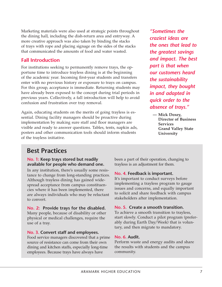Marketing materials were also used at strategic points throughout the dining hall, including the dish-return area and entryway. A more creative approach was also taken by binding the stacks of trays with rope and placing signage on the sides of the stacks that communicated the amounts of food and water wasted.

# **Fall Introduction**

For institutions seeking to permanently remove trays, the opportune time to introduce trayless dining is at the beginning of the academic year. Incoming first-year students and transfers enter with no previous history or exposure to trays on campus. For this group, acceptance is immediate. Returning students may have already been exposed to the concept during trial periods in previous years. Collectively, a fall introduction will help to avoid confusion and frustration over tray removal.

Again, educating students on the merits of going trayless is essential. Dining facility managers should be proactive during implementation by making sure staff and floor managers are visible and ready to answer questions. Tables, tents, napkin ads, posters and other communication tools should inform students of the trayless initiative.

*"Sometimes the craziest ideas are the ones that lead to the greatest savings and impact. The best part is that when our customers heard the sustainability impact, they bought in and adapted in quick order to the absence of trays."*

**— Mick Doxey, Director of Business Services Grand Valley State University**

# **Best Practices**

#### **No. 1: Keep trays stored but readily available for people who demand one.**

In any institution, there's usually some resistance to change from long-standing practices. Although trayless dining has gained widespread acceptance from campus constituencies where it has been implemented, there are always individuals who may be reluctant to convert.

# **No. 2: Provide trays for the disabled.**

Many people, because of disability or other physical or medical challenges, require the use of a tray.

# **No. 3. Convert staff and employees.**

Food service managers discovered that a prime source of resistance can come from their own dining and kitchen staffs, especially long-time employees. Because trays have always have

been a part of their operation, changing to trayless is an adjustment for them.

# **No. 4. Feedback is important.**

It's important to conduct surveys before implementing a trayless program to gauge issues and concerns, and equally important to solicit and share feedback with campus stakeholders after implementation.

# **No. 5. Create a smooth transition.**

To achieve a smooth transition to trayless, start slowly. Conduct a pilot program (preferably during Earth Day/Week) that is voluntary, and then migrate to mandatory.

# **No. 6. Audit.**

Perform waste and energy audits and share the results with students and the campus community.